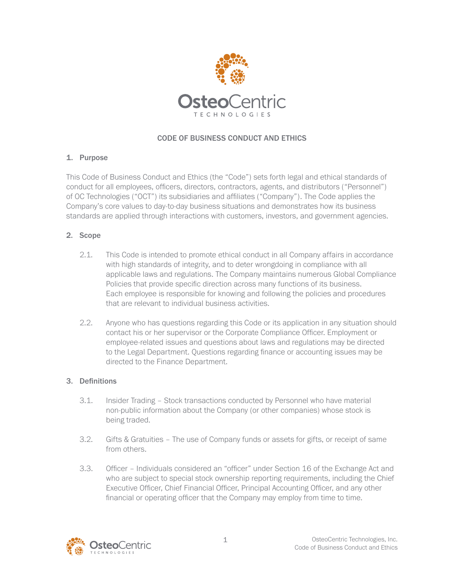

# CODE OF BUSINESS CONDUCT AND ETHICS

#### 1. Purpose

This Code of Business Conduct and Ethics (the "Code") sets forth legal and ethical standards of conduct for all employees, officers, directors, contractors, agents, and distributors ("Personnel") of OC Technologies ("OCT") its subsidiaries and affiliates ("Company"). The Code applies the Company's core values to day-to-day business situations and demonstrates how its business standards are applied through interactions with customers, investors, and government agencies.

#### 2. Scope

- 2.1. This Code is intended to promote ethical conduct in all Company affairs in accordance with high standards of integrity, and to deter wrongdoing in compliance with all applicable laws and regulations. The Company maintains numerous Global Compliance Policies that provide specific direction across many functions of its business. Each employee is responsible for knowing and following the policies and procedures that are relevant to individual business activities.
- 2.2. Anyone who has questions regarding this Code or its application in any situation should contact his or her supervisor or the Corporate Compliance Officer. Employment or employee-related issues and questions about laws and regulations may be directed to the Legal Department. Questions regarding finance or accounting issues may be directed to the Finance Department.

#### 3. Definitions

- 3.1. Insider Trading Stock transactions conducted by Personnel who have material non-public information about the Company (or other companies) whose stock is being traded.
- 3.2. Gifts & Gratuities The use of Company funds or assets for gifts, or receipt of same from others.
- 3.3. Officer Individuals considered an "officer" under Section 16 of the Exchange Act and who are subject to special stock ownership reporting requirements, including the Chief Executive Officer, Chief Financial Officer, Principal Accounting Officer, and any other financial or operating officer that the Company may employ from time to time.

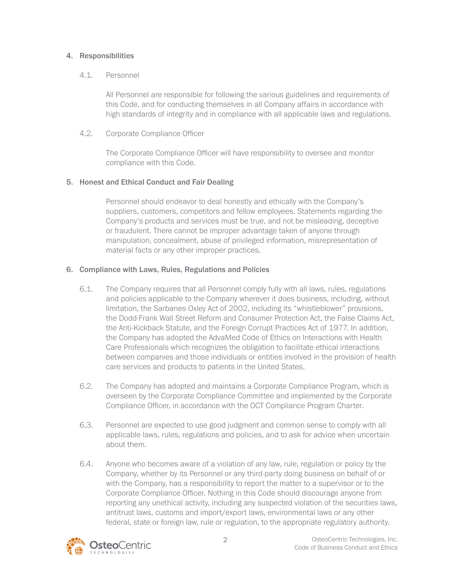#### 4. Responsibilities

#### 4.1. Personnel

 All Personnel are responsible for following the various guidelines and requirements of this Code, and for conducting themselves in all Company affairs in accordance with high standards of integrity and in compliance with all applicable laws and regulations.

4.2. Corporate Compliance Officer

 The Corporate Compliance Officer will have responsibility to oversee and monitor compliance with this Code.

### 5. Honest and Ethical Conduct and Fair Dealing

 Personnel should endeavor to deal honestly and ethically with the Company's suppliers, customers, competitors and fellow employees. Statements regarding the Company's products and services must be true, and not be misleading, deceptive or fraudulent. There cannot be improper advantage taken of anyone through manipulation, concealment, abuse of privileged information, misrepresentation of material facts or any other improper practices.

### 6. Compliance with Laws, Rules, Regulations and Policies

- 6.1. The Company requires that all Personnel comply fully with all laws, rules, regulations and policies applicable to the Company wherever it does business, including, without limitation, the Sarbanes-Oxley Act of 2002, including its "whistleblower" provisions, the Dodd-Frank Wall Street Reform and Consumer Protection Act, the False Claims Act, the Anti-Kickback Statute, and the Foreign Corrupt Practices Act of 1977. In addition, the Company has adopted the AdvaMed Code of Ethics on Interactions with Health Care Professionals which recognizes the obligation to facilitate ethical interactions between companies and those individuals or entities involved in the provision of health care services and products to patients in the United States.
- 6.2. The Company has adopted and maintains a Corporate Compliance Program, which is overseen by the Corporate Compliance Committee and implemented by the Corporate Compliance Officer, in accordance with the OCT Compliance Program Charter.
- 6.3. Personnel are expected to use good judgment and common sense to comply with all applicable laws, rules, regulations and policies, and to ask for advice when uncertain about them.
- 6.4. Anyone who becomes aware of a violation of any law, rule, regulation or policy by the Company, whether by its Personnel or any third-party doing business on behalf of or with the Company, has a responsibility to report the matter to a supervisor or to the Corporate Compliance Officer. Nothing in this Code should discourage anyone from reporting any unethical activity, including any suspected violation of the securities laws, antitrust laws, customs and import/export laws, environmental laws or any other federal, state or foreign law, rule or regulation, to the appropriate regulatory authority.

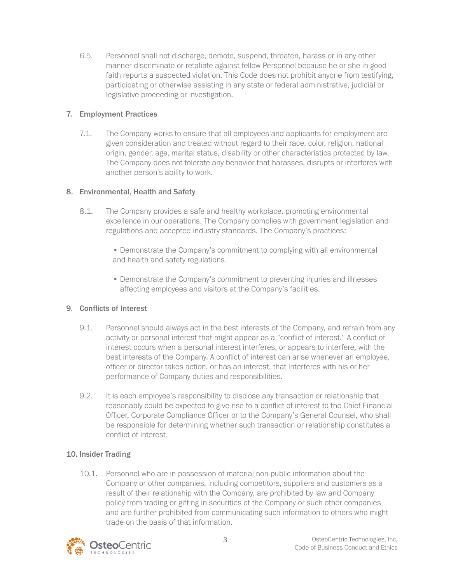6.5. Personnel shall not discharge, demote, suspend, threaten, harass or in any other manner discriminate or retaliate against fellow Personnel because he or she in good faith reports a suspected violation. This Code does not prohibit anyone from testifying, participating or otherwise assisting in any state or federal administrative, judicial or legislative proceeding or investigation.

## 7. Employment Practices

7.1. The Company works to ensure that all employees and applicants for employment are given consideration and treated without regard to their race, color, religion, national origin, gender, age, marital status, disability or other characteristics protected by law. The Company does not tolerate any behavior that harasses, disrupts or interferes with another person's ability to work.

### 8. Environmental, Health and Safety

- 8.1. The Company provides a safe and healthy workplace, promoting environmental excellence in our operations. The Company complies with government legislation and regulations and accepted industry standards. The Company's practices:
	- Demonstrate the Company's commitment to complying with all environmental and health and safety regulations.
	- Demonstrate the Company's commitment to preventing injuries and illnesses affecting employees and visitors at the Company's facilities.

# 9. Conflicts of Interest

- 9.1. Personnel should always act in the best interests of the Company, and refrain from any activity or personal interest that might appear as a "conflict of interest." A conflict of interest occurs when a personal interest interferes, or appears to interfere, with the best interests of the Company. A conflict of interest can arise whenever an employee, officer or director takes action, or has an interest, that interferes with his or her performance of Company duties and responsibilities.
- 9.2. It is each employee's responsibility to disclose any transaction or relationship that reasonably could be expected to give rise to a conflict of interest to the Chief Financial Officer, Corporate Compliance Officer or to the Company's General Counsel, who shall be responsible for determining whether such transaction or relationship constitutes a conflict of interest.

### 10. Insider Trading

10.1. Personnel who are in possession of material non-public information about the Company or other companies, including competitors, suppliers and customers as a result of their relationship with the Company, are prohibited by law and Company policy from trading or gifting in securities of the Company or such other companies and are further prohibited from communicating such information to others who might trade on the basis of that information.

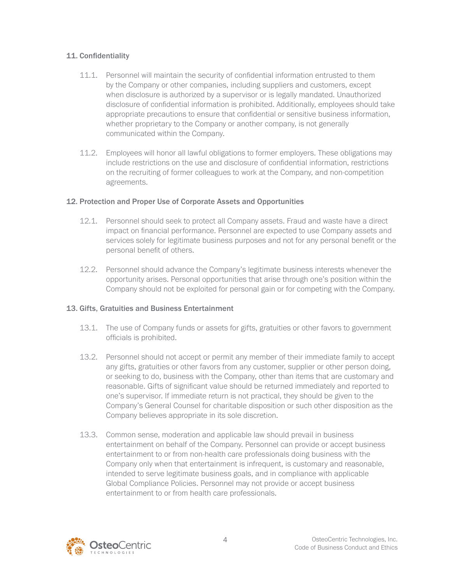## 11. Confidentiality

- 11.1. Personnel will maintain the security of confidential information entrusted to them by the Company or other companies, including suppliers and customers, except when disclosure is authorized by a supervisor or is legally mandated. Unauthorized disclosure of confidential information is prohibited. Additionally, employees should take appropriate precautions to ensure that confidential or sensitive business information, whether proprietary to the Company or another company, is not generally communicated within the Company.
- 11.2. Employees will honor all lawful obligations to former employers. These obligations may include restrictions on the use and disclosure of confidential information, restrictions on the recruiting of former colleagues to work at the Company, and non-competition agreements.

### 12. Protection and Proper Use of Corporate Assets and Opportunities

- 12.1. Personnel should seek to protect all Company assets. Fraud and waste have a direct impact on financial performance. Personnel are expected to use Company assets and services solely for legitimate business purposes and not for any personal benefit or the personal benefit of others.
- 12.2. Personnel should advance the Company's legitimate business interests whenever the opportunity arises. Personal opportunities that arise through one's position within the Company should not be exploited for personal gain or for competing with the Company.

### 13. Gifts, Gratuities and Business Entertainment

- 13.1. The use of Company funds or assets for gifts, gratuities or other favors to government officials is prohibited.
- 13.2. Personnel should not accept or permit any member of their immediate family to accept any gifts, gratuities or other favors from any customer, supplier or other person doing, or seeking to do, business with the Company, other than items that are customary and reasonable. Gifts of significant value should be returned immediately and reported to one's supervisor. If immediate return is not practical, they should be given to the Company's General Counsel for charitable disposition or such other disposition as the Company believes appropriate in its sole discretion.
- 13.3. Common sense, moderation and applicable law should prevail in business entertainment on behalf of the Company. Personnel can provide or accept business entertainment to or from non-health care professionals doing business with the Company only when that entertainment is infrequent, is customary and reasonable, intended to serve legitimate business goals, and in compliance with applicable Global Compliance Policies. Personnel may not provide or accept business entertainment to or from health care professionals.

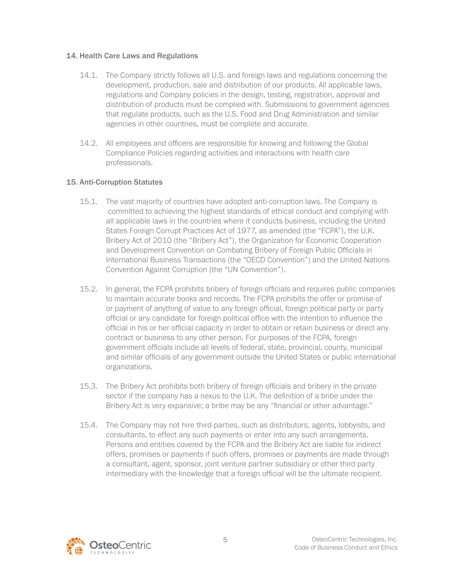#### 14. Health Care Laws and Regulations

- 14.1. The Company strictly follows all U.S. and foreign laws and regulations concerning the development, production, sale and distribution of our products. All applicable laws, regulations and Company policies in the design, testing, registration, approval and distribution of products must be complied with. Submissions to government agencies that regulate products, such as the U.S. Food and Drug Administration and similar agencies in other countries, must be complete and accurate.
- 14.2. All employees and officers are responsible for knowing and following the Global Compliance Policies regarding activities and interactions with health care professionals.

### 15. Anti-Corruption Statutes

- 15.1. The vast majority of countries have adopted anti-corruption laws. The Company is committed to achieving the highest standards of ethical conduct and complying with all applicable laws in the countries where it conducts business, including the United States Foreign Corrupt Practices Act of 1977, as amended (the "FCPA"), the U.K. Bribery Act of 2010 (the "Bribery Act"), the Organization for Economic Cooperation and Development Convention on Combating Bribery of Foreign Public Officials in International Business Transactions (the "OECD Convention") and the United Nations Convention Against Corruption (the "UN Convention").
- 15.2. In general, the FCPA prohibits bribery of foreign officials and requires public companies to maintain accurate books and records. The FCPA prohibits the offer or promise of or payment of anything of value to any foreign official, foreign political party or party official or any candidate for foreign political office with the intention to influence the official in his or her official capacity in order to obtain or retain business or direct any contract or business to any other person. For purposes of the FCPA, foreign government officials include all levels of federal, state, provincial, county, municipal and similar officials of any government outside the United States or public international organizations.
- 15.3. The Bribery Act prohibits both bribery of foreign officials and bribery in the private sector if the company has a nexus to the U.K. The definition of a bribe under the Bribery Act is very expansive; a bribe may be any "financial or other advantage."
- 15.4. The Company may not hire third-parties, such as distributors, agents, lobbyists, and consultants, to effect any such payments or enter into any such arrangements. Persons and entities covered by the FCPA and the Bribery Act are liable for indirect offers, promises or payments if such offers, promises or payments are made through a consultant, agent, sponsor, joint venture partner subsidiary or other third party intermediary with the knowledge that a foreign official will be the ultimate recipient.

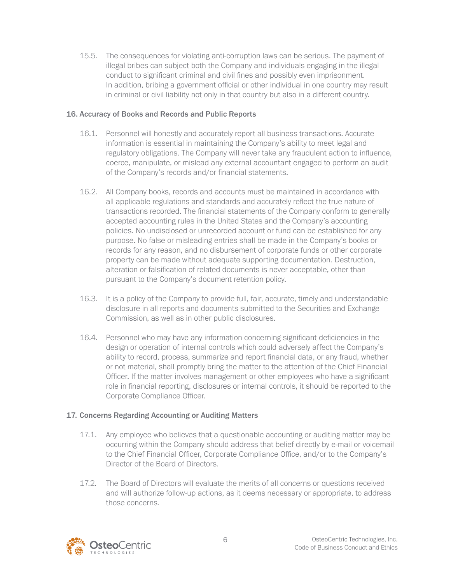15.5. The consequences for violating anti-corruption laws can be serious. The payment of illegal bribes can subject both the Company and individuals engaging in the illegal conduct to significant criminal and civil fines and possibly even imprisonment. In addition, bribing a government official or other individual in one country may result in criminal or civil liability not only in that country but also in a different country.

#### 16. Accuracy of Books and Records and Public Reports

- 16.1. Personnel will honestly and accurately report all business transactions. Accurate information is essential in maintaining the Company's ability to meet legal and regulatory obligations. The Company will never take any fraudulent action to influence, coerce, manipulate, or mislead any external accountant engaged to perform an audit of the Company's records and/or financial statements.
- 16.2. All Company books, records and accounts must be maintained in accordance with all applicable regulations and standards and accurately reflect the true nature of transactions recorded. The financial statements of the Company conform to generally accepted accounting rules in the United States and the Company's accounting policies. No undisclosed or unrecorded account or fund can be established for any purpose. No false or misleading entries shall be made in the Company's books or records for any reason, and no disbursement of corporate funds or other corporate property can be made without adequate supporting documentation. Destruction, alteration or falsification of related documents is never acceptable, other than pursuant to the Company's document retention policy.
- 16.3. It is a policy of the Company to provide full, fair, accurate, timely and understandable disclosure in all reports and documents submitted to the Securities and Exchange Commission, as well as in other public disclosures.
- 16.4. Personnel who may have any information concerning significant deficiencies in the design or operation of internal controls which could adversely affect the Company's ability to record, process, summarize and report financial data, or any fraud, whether or not material, shall promptly bring the matter to the attention of the Chief Financial Officer. If the matter involves management or other employees who have a significant role in financial reporting, disclosures or internal controls, it should be reported to the Corporate Compliance Officer.

### 17. Concerns Regarding Accounting or Auditing Matters

- 17.1. Any employee who believes that a questionable accounting or auditing matter may be occurring within the Company should address that belief directly by e-mail or voicemail to the Chief Financial Officer, Corporate Compliance Office, and/or to the Company's Director of the Board of Directors.
- 17.2. The Board of Directors will evaluate the merits of all concerns or questions received and will authorize follow-up actions, as it deems necessary or appropriate, to address those concerns.

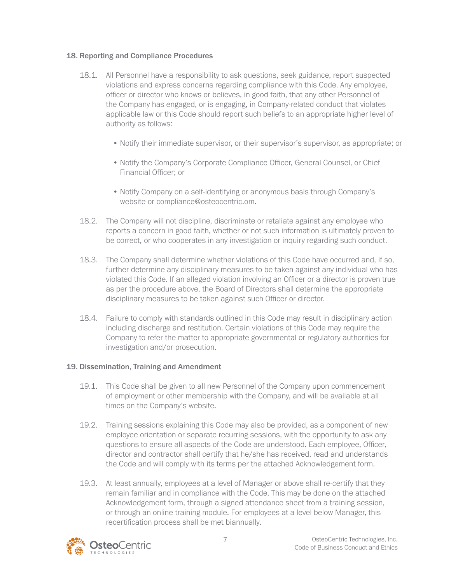## 18. Reporting and Compliance Procedures

- 18.1. All Personnel have a responsibility to ask questions, seek guidance, report suspected violations and express concerns regarding compliance with this Code. Any employee, officer or director who knows or believes, in good faith, that any other Personnel of the Company has engaged, or is engaging, in Company-related conduct that violates applicable law or this Code should report such beliefs to an appropriate higher level of authority as follows:
	- Notify their immediate supervisor, or their supervisor's supervisor, as appropriate; or
	- Notify the Company's Corporate Compliance Officer, General Counsel, or Chief Financial Officer; or
	- Notify Company on a self-identifying or anonymous basis through Company's website or compliance@osteocentric.om.
- 18.2. The Company will not discipline, discriminate or retaliate against any employee who reports a concern in good faith, whether or not such information is ultimately proven to be correct, or who cooperates in any investigation or inquiry regarding such conduct.
- 18.3. The Company shall determine whether violations of this Code have occurred and, if so, further determine any disciplinary measures to be taken against any individual who has violated this Code. If an alleged violation involving an Officer or a director is proven true as per the procedure above, the Board of Directors shall determine the appropriate disciplinary measures to be taken against such Officer or director.
- 18.4. Failure to comply with standards outlined in this Code may result in disciplinary action including discharge and restitution. Certain violations of this Code may require the Company to refer the matter to appropriate governmental or regulatory authorities for investigation and/or prosecution.

### 19. Dissemination, Training and Amendment

- 19.1. This Code shall be given to all new Personnel of the Company upon commencement of employment or other membership with the Company, and will be available at all times on the Company's website.
- 19.2. Training sessions explaining this Code may also be provided, as a component of new employee orientation or separate recurring sessions, with the opportunity to ask any questions to ensure all aspects of the Code are understood. Each employee, Officer, director and contractor shall certify that he/she has received, read and understands the Code and will comply with its terms per the attached Acknowledgement form.
- 19.3. At least annually, employees at a level of Manager or above shall re-certify that they remain familiar and in compliance with the Code. This may be done on the attached Acknowledgement form, through a signed attendance sheet from a training session, or through an online training module. For employees at a level below Manager, this recertification process shall be met biannually.